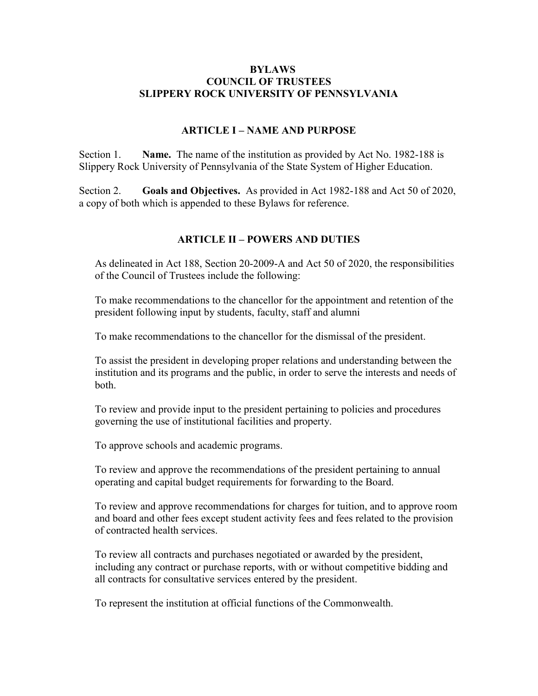# **BYLAWS COUNCIL OF TRUSTEES SLIPPERY ROCK UNIVERSITY OF PENNSYLVANIA**

## **ARTICLE I – NAME AND PURPOSE**

Section 1. **Name.** The name of the institution as provided by Act No. 1982-188 is Slippery Rock University of Pennsylvania of the State System of Higher Education.

Section 2. **Goals and Objectives.** As provided in Act 1982-188 and Act 50 of 2020, a copy of both which is appended to these Bylaws for reference.

### **ARTICLE II – POWERS AND DUTIES**

As delineated in Act 188, Section 20-2009-A and Act 50 of 2020, the responsibilities of the Council of Trustees include the following:

To make recommendations to the chancellor for the appointment and retention of the president following input by students, faculty, staff and alumni

To make recommendations to the chancellor for the dismissal of the president.

To assist the president in developing proper relations and understanding between the institution and its programs and the public, in order to serve the interests and needs of both.

To review and provide input to the president pertaining to policies and procedures governing the use of institutional facilities and property.

To approve schools and academic programs.

To review and approve the recommendations of the president pertaining to annual operating and capital budget requirements for forwarding to the Board.

To review and approve recommendations for charges for tuition, and to approve room and board and other fees except student activity fees and fees related to the provision of contracted health services.

To review all contracts and purchases negotiated or awarded by the president, including any contract or purchase reports, with or without competitive bidding and all contracts for consultative services entered by the president.

To represent the institution at official functions of the Commonwealth.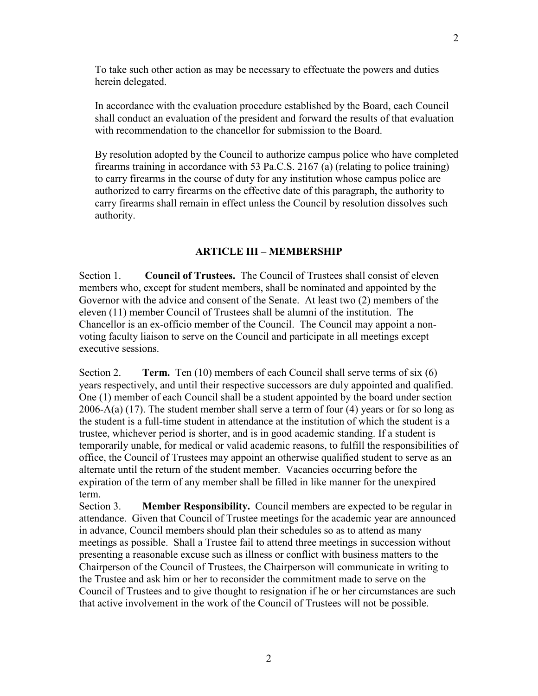To take such other action as may be necessary to effectuate the powers and duties herein delegated.

In accordance with the evaluation procedure established by the Board, each Council shall conduct an evaluation of the president and forward the results of that evaluation with recommendation to the chancellor for submission to the Board.

By resolution adopted by the Council to authorize campus police who have completed firearms training in accordance with 53 Pa.C.S. 2167 (a) (relating to police training) to carry firearms in the course of duty for any institution whose campus police are authorized to carry firearms on the effective date of this paragraph, the authority to carry firearms shall remain in effect unless the Council by resolution dissolves such authority.

### **ARTICLE III – MEMBERSHIP**

Section 1. **Council of Trustees.** The Council of Trustees shall consist of eleven members who, except for student members, shall be nominated and appointed by the Governor with the advice and consent of the Senate. At least two (2) members of the eleven (11) member Council of Trustees shall be alumni of the institution. The Chancellor is an ex-officio member of the Council. The Council may appoint a nonvoting faculty liaison to serve on the Council and participate in all meetings except executive sessions.

Section 2. **Term.** Ten (10) members of each Council shall serve terms of six (6) years respectively, and until their respective successors are duly appointed and qualified. One (1) member of each Council shall be a student appointed by the board under section 2006-A(a) (17). The student member shall serve a term of four  $(4)$  years or for so long as the student is a full-time student in attendance at the institution of which the student is a trustee, whichever period is shorter, and is in good academic standing. If a student is temporarily unable, for medical or valid academic reasons, to fulfill the responsibilities of office, the Council of Trustees may appoint an otherwise qualified student to serve as an alternate until the return of the student member. Vacancies occurring before the expiration of the term of any member shall be filled in like manner for the unexpired term.

Section 3. **Member Responsibility.** Council members are expected to be regular in attendance. Given that Council of Trustee meetings for the academic year are announced in advance, Council members should plan their schedules so as to attend as many meetings as possible. Shall a Trustee fail to attend three meetings in succession without presenting a reasonable excuse such as illness or conflict with business matters to the Chairperson of the Council of Trustees, the Chairperson will communicate in writing to the Trustee and ask him or her to reconsider the commitment made to serve on the Council of Trustees and to give thought to resignation if he or her circumstances are such that active involvement in the work of the Council of Trustees will not be possible.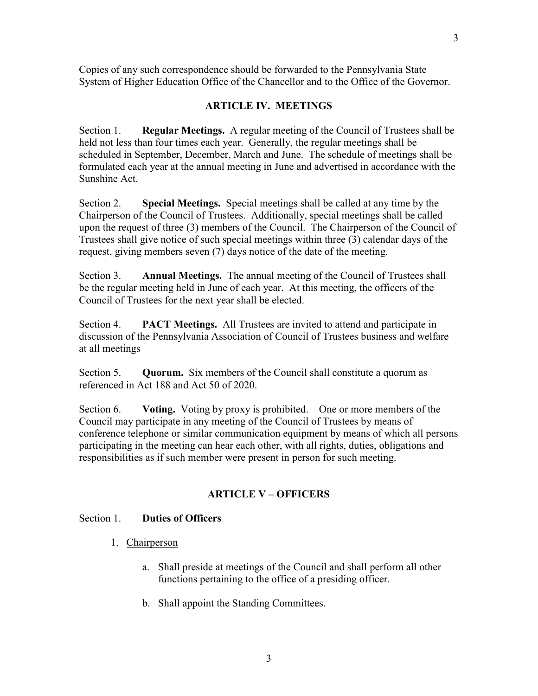Copies of any such correspondence should be forwarded to the Pennsylvania State System of Higher Education Office of the Chancellor and to the Office of the Governor.

# **ARTICLE IV. MEETINGS**

Section 1. **Regular Meetings.** A regular meeting of the Council of Trustees shall be held not less than four times each year. Generally, the regular meetings shall be scheduled in September, December, March and June. The schedule of meetings shall be formulated each year at the annual meeting in June and advertised in accordance with the Sunshine Act.

Section 2. **Special Meetings.** Special meetings shall be called at any time by the Chairperson of the Council of Trustees. Additionally, special meetings shall be called upon the request of three (3) members of the Council. The Chairperson of the Council of Trustees shall give notice of such special meetings within three (3) calendar days of the request, giving members seven (7) days notice of the date of the meeting.

Section 3. **Annual Meetings.** The annual meeting of the Council of Trustees shall be the regular meeting held in June of each year. At this meeting, the officers of the Council of Trustees for the next year shall be elected.

Section 4. **PACT Meetings.** All Trustees are invited to attend and participate in discussion of the Pennsylvania Association of Council of Trustees business and welfare at all meetings

Section 5. **Quorum.** Six members of the Council shall constitute a quorum as referenced in Act 188 and Act 50 of 2020.

Section 6. **Voting.** Voting by proxy is prohibited. One or more members of the Council may participate in any meeting of the Council of Trustees by means of conference telephone or similar communication equipment by means of which all persons participating in the meeting can hear each other, with all rights, duties, obligations and responsibilities as if such member were present in person for such meeting.

### **ARTICLE V – OFFICERS**

#### Section 1. **Duties of Officers**

- 1. Chairperson
	- a. Shall preside at meetings of the Council and shall perform all other functions pertaining to the office of a presiding officer.
	- b. Shall appoint the Standing Committees.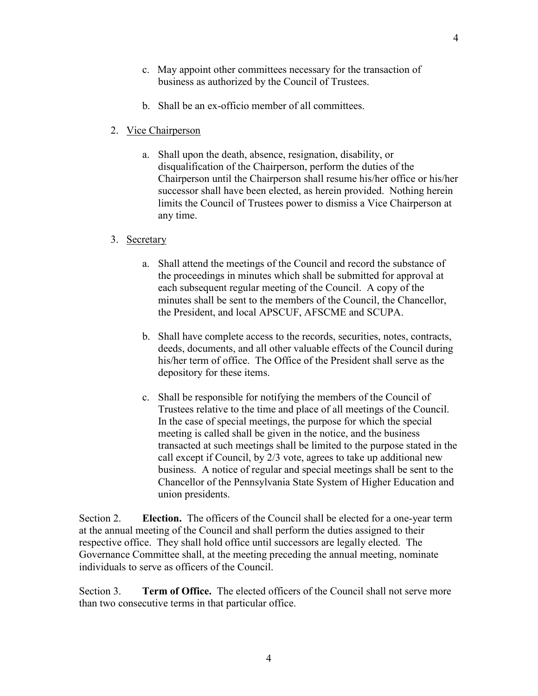- c. May appoint other committees necessary for the transaction of business as authorized by the Council of Trustees.
- b. Shall be an ex-officio member of all committees.
- 2. Vice Chairperson
	- a. Shall upon the death, absence, resignation, disability, or disqualification of the Chairperson, perform the duties of the Chairperson until the Chairperson shall resume his/her office or his/her successor shall have been elected, as herein provided. Nothing herein limits the Council of Trustees power to dismiss a Vice Chairperson at any time.
- 3. Secretary
	- a. Shall attend the meetings of the Council and record the substance of the proceedings in minutes which shall be submitted for approval at each subsequent regular meeting of the Council. A copy of the minutes shall be sent to the members of the Council, the Chancellor, the President, and local APSCUF, AFSCME and SCUPA.
	- b. Shall have complete access to the records, securities, notes, contracts, deeds, documents, and all other valuable effects of the Council during his/her term of office. The Office of the President shall serve as the depository for these items.
	- c. Shall be responsible for notifying the members of the Council of Trustees relative to the time and place of all meetings of the Council. In the case of special meetings, the purpose for which the special meeting is called shall be given in the notice, and the business transacted at such meetings shall be limited to the purpose stated in the call except if Council, by 2/3 vote, agrees to take up additional new business. A notice of regular and special meetings shall be sent to the Chancellor of the Pennsylvania State System of Higher Education and union presidents.

Section 2. **Election.** The officers of the Council shall be elected for a one-year term at the annual meeting of the Council and shall perform the duties assigned to their respective office. They shall hold office until successors are legally elected. The Governance Committee shall, at the meeting preceding the annual meeting, nominate individuals to serve as officers of the Council.

Section 3. **Term of Office.** The elected officers of the Council shall not serve more than two consecutive terms in that particular office.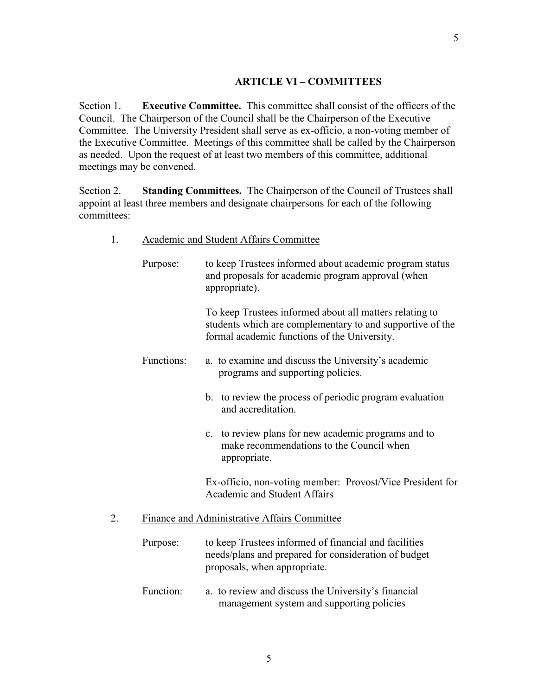### **ARTICLE VI – COMMITTEES**

Section 1. **Executive Committee.** This committee shall consist of the officers of the Council. The Chairperson of the Council shall be the Chairperson of the Executive Committee. The University President shall serve as ex-officio, a non-voting member of the Executive Committee. Meetings of this committee shall be called by the Chairperson as needed. Upon the request of at least two members of this committee, additional meetings may be convened.

Section 2. **Standing Committees.** The Chairperson of the Council of Trustees shall appoint at least three members and designate chairpersons for each of the following committees:

|--|

| Purpose:                                     | to keep Trustees informed about academic program status<br>and proposals for academic program approval (when<br>appropriate).                                        |  |
|----------------------------------------------|----------------------------------------------------------------------------------------------------------------------------------------------------------------------|--|
|                                              | To keep Trustees informed about all matters relating to<br>students which are complementary to and supportive of the<br>formal academic functions of the University. |  |
| Functions:                                   | a. to examine and discuss the University's academic<br>programs and supporting policies.                                                                             |  |
|                                              | b. to review the process of periodic program evaluation<br>and accreditation.                                                                                        |  |
|                                              | to review plans for new academic programs and to<br>c.<br>make recommendations to the Council when<br>appropriate.                                                   |  |
|                                              | Ex-officio, non-voting member: Provost/Vice President for<br><b>Academic and Student Affairs</b>                                                                     |  |
| Finance and Administrative Affairs Committee |                                                                                                                                                                      |  |
| Purpose:                                     | to keep Trustees informed of financial and facilities<br>needs/plans and prepared for consideration of budget<br>proposals, when appropriate.                        |  |
| Function:                                    | a. to review and discuss the University's financial<br>management system and supporting policies                                                                     |  |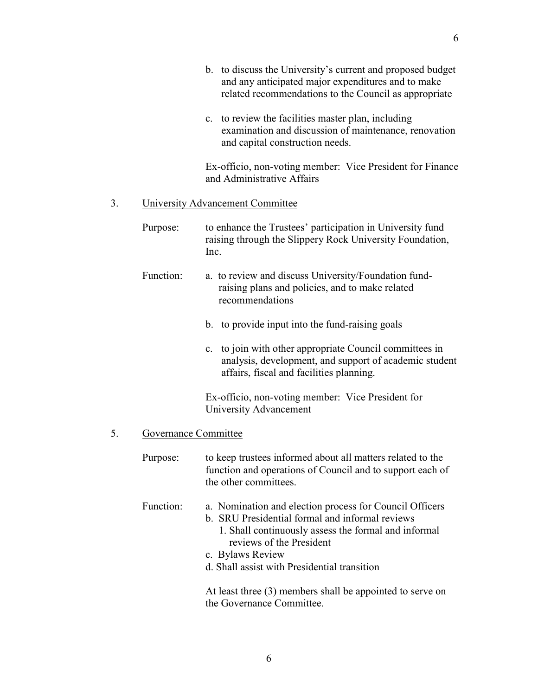|    |                                         | b. to discuss the University's current and proposed budget<br>and any anticipated major expenditures and to make<br>related recommendations to the Council as appropriate                                                                                          |  |
|----|-----------------------------------------|--------------------------------------------------------------------------------------------------------------------------------------------------------------------------------------------------------------------------------------------------------------------|--|
|    |                                         | c. to review the facilities master plan, including<br>examination and discussion of maintenance, renovation<br>and capital construction needs.                                                                                                                     |  |
|    |                                         | Ex-officio, non-voting member: Vice President for Finance<br>and Administrative Affairs                                                                                                                                                                            |  |
| 3. | <b>University Advancement Committee</b> |                                                                                                                                                                                                                                                                    |  |
|    | Purpose:                                | to enhance the Trustees' participation in University fund<br>raising through the Slippery Rock University Foundation,<br>Inc.                                                                                                                                      |  |
|    | Function:                               | a. to review and discuss University/Foundation fund-<br>raising plans and policies, and to make related<br>recommendations                                                                                                                                         |  |
|    |                                         | b. to provide input into the fund-raising goals                                                                                                                                                                                                                    |  |
|    |                                         | c. to join with other appropriate Council committees in<br>analysis, development, and support of academic student<br>affairs, fiscal and facilities planning.                                                                                                      |  |
|    |                                         | Ex-officio, non-voting member: Vice President for<br>University Advancement                                                                                                                                                                                        |  |
| 5. | Governance Committee                    |                                                                                                                                                                                                                                                                    |  |
|    | Purpose:                                | to keep trustees informed about all matters related to the<br>function and operations of Council and to support each of<br>the other committees.                                                                                                                   |  |
|    | Function:                               | a. Nomination and election process for Council Officers<br>b. SRU Presidential formal and informal reviews<br>1. Shall continuously assess the formal and informal<br>reviews of the President<br>c. Bylaws Review<br>d. Shall assist with Presidential transition |  |
|    |                                         | At least three (3) members shall be appointed to serve on<br>the Governance Committee.                                                                                                                                                                             |  |